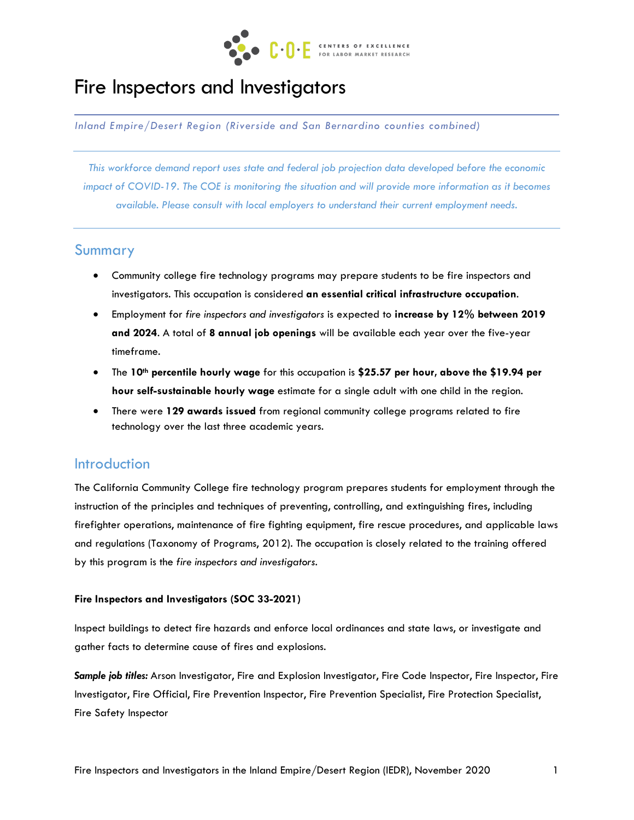

# Fire Inspectors and Investigators

*Inland Empire/Desert Region (Riverside and San Bernardino counties combined)*

*This workforce demand report uses state and federal job projection data developed before the economic impact of COVID-19. The COE is monitoring the situation and will provide more information as it becomes available. Please consult with local employers to understand their current employment needs.*

### Summary

- Community college fire technology programs may prepare students to be fire inspectors and investigators. This occupation is considered **an essential critical infrastructure occupation**.
- Employment for *fire inspectors and investigators* is expected to **increase by 12% between 2019 and 2024**. A total of **8 annual job openings** will be available each year over the five-year timeframe.
- The **10th percentile hourly wage** for this occupation is **\$25.57 per hour, above the \$19.94 per hour self-sustainable hourly wage** estimate for a single adult with one child in the region.
- There were **129 awards issued** from regional community college programs related to fire technology over the last three academic years.

#### Introduction

The California Community College fire technology program prepares students for employment through the instruction of the principles and techniques of preventing, controlling, and extinguishing fires, including firefighter operations, maintenance of fire fighting equipment, fire rescue procedures, and applicable laws and regulations (Taxonomy of Programs, 2012). The occupation is closely related to the training offered by this program is the *fire inspectors and investigators*.

#### **Fire Inspectors and Investigators (SOC 33-2021)**

Inspect buildings to detect fire hazards and enforce local ordinances and state laws, or investigate and gather facts to determine cause of fires and explosions.

*Sample job titles:* Arson Investigator, Fire and Explosion Investigator, Fire Code Inspector, Fire Inspector, Fire Investigator, Fire Official, Fire Prevention Inspector, Fire Prevention Specialist, Fire Protection Specialist, Fire Safety Inspector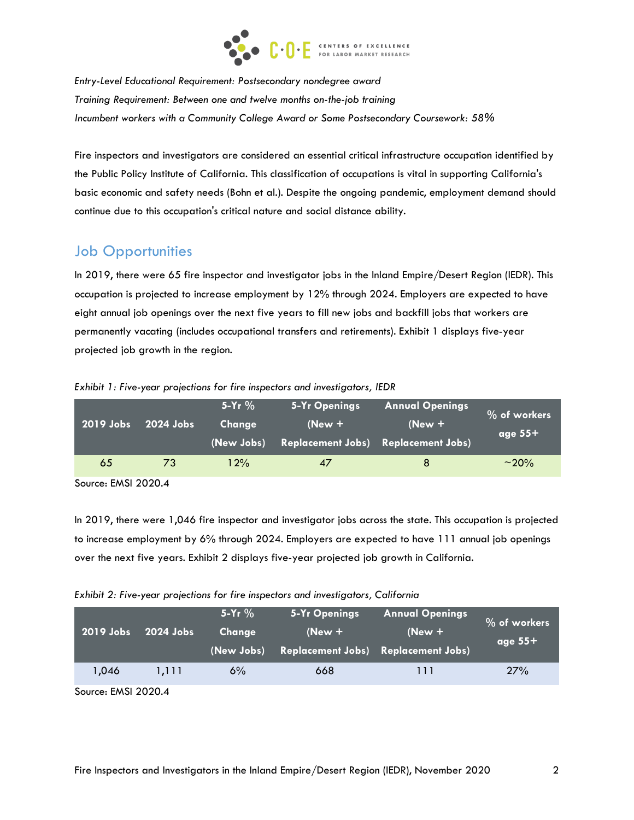

*Entry-Level Educational Requirement: Postsecondary nondegree award Training Requirement: Between one and twelve months on-the-job training Incumbent workers with a Community College Award or Some Postsecondary Coursework: 58%*

Fire inspectors and investigators are considered an essential critical infrastructure occupation identified by the Public Policy Institute of California. This classification of occupations is vital in supporting California's basic economic and safety needs (Bohn et al.). Despite the ongoing pandemic, employment demand should continue due to this occupation's critical nature and social distance ability.

## Job Opportunities

In 2019, there were 65 fire inspector and investigator jobs in the Inland Empire/Desert Region (IEDR). This occupation is projected to increase employment by 12% through 2024. Employers are expected to have eight annual job openings over the next five years to fill new jobs and backfill jobs that workers are permanently vacating (includes occupational transfers and retirements). Exhibit 1 displays five-year projected job growth in the region.

| 2019 Jobs | 2024 Jobs | 5-Yr $%$<br>Change<br>(New Jobs) | <b>5-Yr Openings</b><br>$New +$<br>Replacement Jobs) Replacement Jobs) | <b>Annual Openings</b><br>$(New +$ | % of workers<br>age $55+$ |
|-----------|-----------|----------------------------------|------------------------------------------------------------------------|------------------------------------|---------------------------|
| 65        | 73        | 12%                              | 47                                                                     | 8                                  | $~10\%$                   |

*Exhibit 1: Five-year projections for fire inspectors and investigators, IEDR*

Source: EMSI 2020.4

In 2019, there were 1,046 fire inspector and investigator jobs across the state. This occupation is projected to increase employment by 6% through 2024. Employers are expected to have 111 annual job openings over the next five years. Exhibit 2 displays five-year projected job growth in California.

| 2019 Jobs | $2024$ Jobs | $5-Yr$ %<br>Change<br>(New Jobs) | 5-Yr Openings<br>$New +$<br><b>Replacement Jobs) Replacement Jobs)</b> | <b>Annual Openings</b><br>$New +$ | % of workers<br>age $55+$ |
|-----------|-------------|----------------------------------|------------------------------------------------------------------------|-----------------------------------|---------------------------|
| 1,046     | 1.111       | 6%                               | 668                                                                    | 111                               | 27%                       |

Source: EMSI 2020.4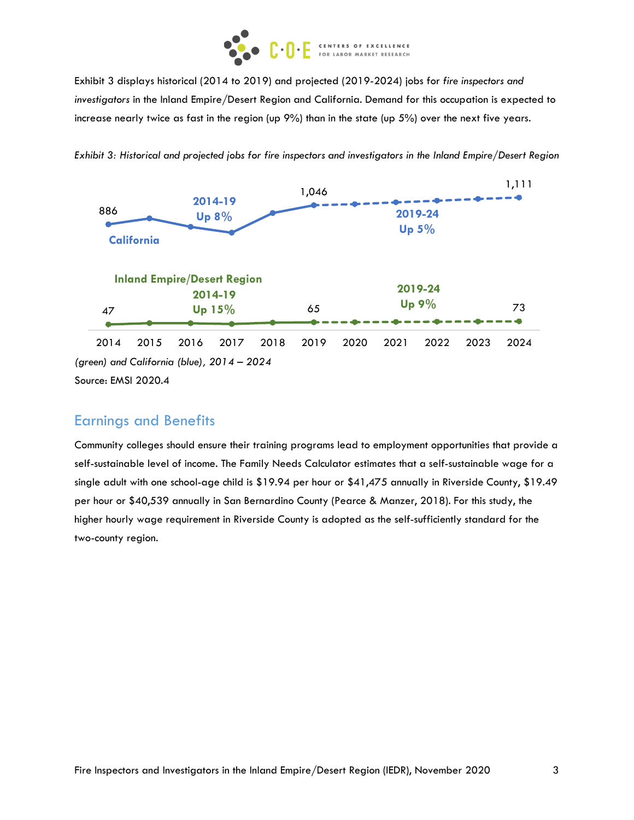

Exhibit 3 displays historical (2014 to 2019) and projected (2019-2024) jobs for *fire inspectors and investigators* in the Inland Empire/Desert Region and California. Demand for this occupation is expected to increase nearly twice as fast in the region (up 9%) than in the state (up 5%) over the next five years.



*Exhibit 3: Historical and projected jobs for fire inspectors and investigators in the Inland Empire/Desert Region* 

## Earnings and Benefits

Community colleges should ensure their training programs lead to employment opportunities that provide a self-sustainable level of income. The Family Needs Calculator estimates that a self-sustainable wage for a single adult with one school-age child is \$19.94 per hour or \$41,475 annually in Riverside County, \$19.49 per hour or \$40,539 annually in San Bernardino County (Pearce & Manzer, 2018). For this study, the higher hourly wage requirement in Riverside County is adopted as the self-sufficiently standard for the two-county region.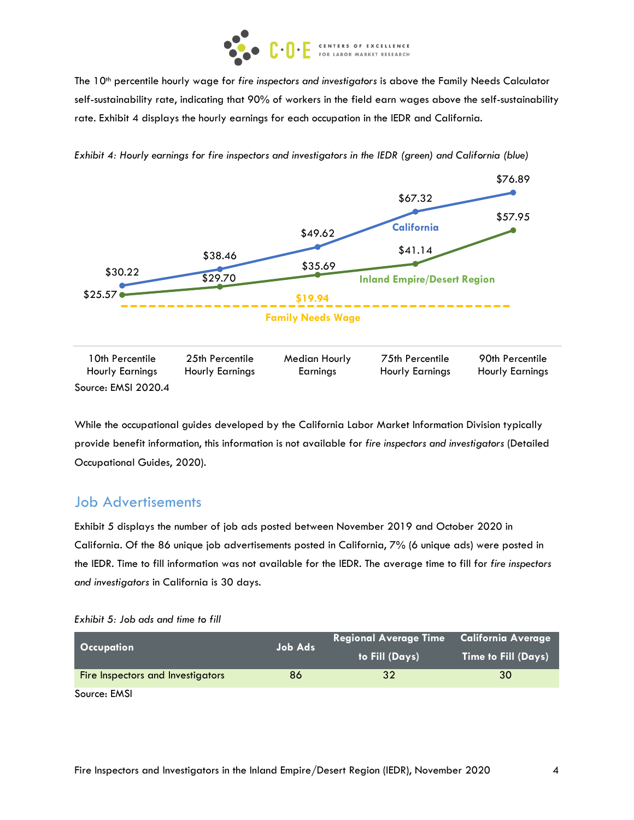

The 10th percentile hourly wage for *fire inspectors and investigators* is above the Family Needs Calculator self-sustainability rate, indicating that 90% of workers in the field earn wages above the self-sustainability rate. Exhibit 4 displays the hourly earnings for each occupation in the IEDR and California.



*Exhibit 4: Hourly earnings for fire inspectors and investigators in the IEDR (green) and California (blue)*

While the occupational guides developed by the California Labor Market Information Division typically provide benefit information, this information is not available for *fire inspectors and investigators* (Detailed Occupational Guides, 2020).

## Job Advertisements

Exhibit 5 displays the number of job ads posted between November 2019 and October 2020 in California. Of the 86 unique job advertisements posted in California, 7% (6 unique ads) were posted in the IEDR. Time to fill information was not available for the IEDR. The average time to fill for *fire inspectors and investigators* in California is 30 days.

| Exhibit 5: Job ads and time to fill |  |
|-------------------------------------|--|
|-------------------------------------|--|

| <b>Occupation</b>                 | <b>Job Ads</b> | Regional Average Time California Average | <b>Time to Fill (Days)</b> |  |  |
|-----------------------------------|----------------|------------------------------------------|----------------------------|--|--|
|                                   |                | to Fill (Days)                           |                            |  |  |
| Fire Inspectors and Investigators | 86             | 32                                       | 30                         |  |  |
| Source: EMSI                      |                |                                          |                            |  |  |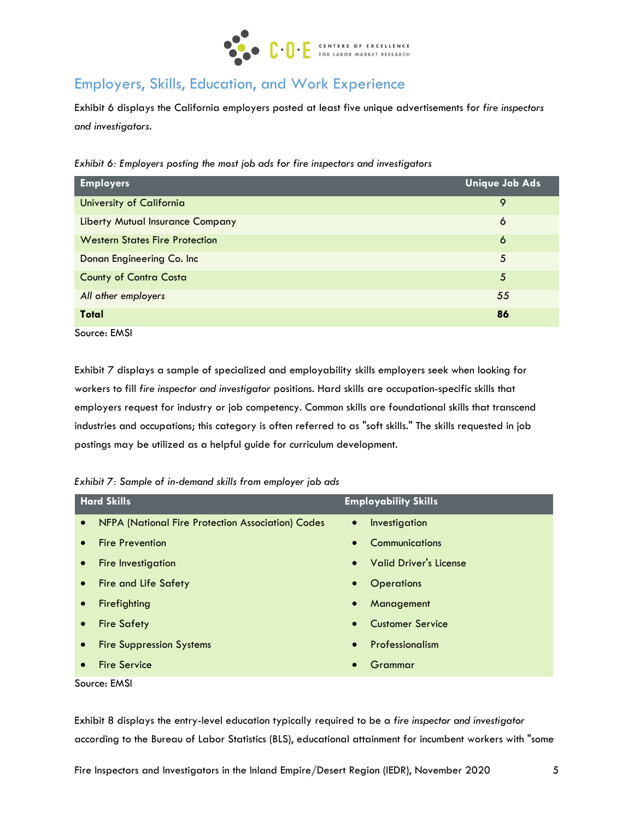

## Employers, Skills, Education, and Work Experience

Exhibit 6 displays the California employers posted at least five unique advertisements for *fire inspectors and investigators*.

*Exhibit 6: Employers posting the most job ads for fire inspectors and investigators*

| <b>Employers</b>                        | <b>Unique Job Ads</b> |
|-----------------------------------------|-----------------------|
| University of California                | 9                     |
| <b>Liberty Mutual Insurance Company</b> | 6                     |
| <b>Western States Fire Protection</b>   | 6                     |
| Donan Engineering Co. Inc               | 5                     |
| <b>County of Contra Costa</b>           | 5                     |
| All other employers                     | 55                    |
| <b>Total</b>                            | 86                    |

Source: EMSI

Exhibit 7 displays a sample of specialized and employability skills employers seek when looking for workers to fill *fire inspector and investigator* positions. Hard skills are occupation-specific skills that employers request for industry or job competency. Common skills are foundational skills that transcend industries and occupations; this category is often referred to as "soft skills." The skills requested in job postings may be utilized as a helpful guide for curriculum development.

*Exhibit 7: Sample of in-demand skills from employer job ads*

|           | <b>Hard Skills</b>                                | <b>Employability Skills</b>                |  |
|-----------|---------------------------------------------------|--------------------------------------------|--|
| $\bullet$ | NFPA (National Fire Protection Association) Codes | Investigation<br>$\bullet$                 |  |
| $\bullet$ | <b>Fire Prevention</b>                            | Communications<br>$\bullet$                |  |
| $\bullet$ | Fire Investigation                                | <b>Valid Driver's License</b><br>$\bullet$ |  |
| $\bullet$ | <b>Fire and Life Safety</b>                       | <b>Operations</b><br>$\bullet$             |  |
| $\bullet$ | Firefighting                                      | Management<br>$\bullet$                    |  |
| $\bullet$ | <b>Fire Safety</b>                                | <b>Customer Service</b><br>$\bullet$       |  |
| $\bullet$ | <b>Fire Suppression Systems</b>                   | Professionalism<br>$\bullet$               |  |
| $\bullet$ | <b>Fire Service</b>                               | Grammar<br>$\bullet$                       |  |
|           |                                                   |                                            |  |

Source: EMSI

Exhibit 8 displays the entry-level education typically required to be a *fire inspector and investigator* according to the Bureau of Labor Statistics (BLS), educational attainment for incumbent workers with "some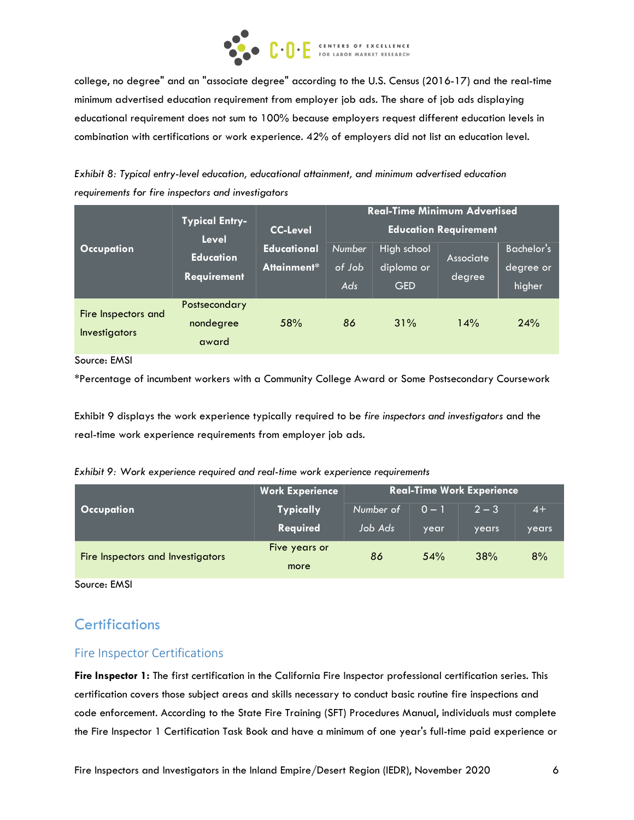

college, no degree" and an "associate degree" according to the U.S. Census (2016-17) and the real-time minimum advertised education requirement from employer job ads. The share of job ads displaying educational requirement does not sum to 100% because employers request different education levels in combination with certifications or work experience. 42% of employers did not list an education level.

*Exhibit 8: Typical entry-level education, educational attainment, and minimum advertised education requirements for fire inspectors and investigators*

|                                      | <b>Typical Entry-</b><br><b>Level</b>  | <b>CC-Level</b>                   | <b>Real-Time Minimum Advertised</b><br><b>Education Requirement</b> |                                         |                     |                                          |  |
|--------------------------------------|----------------------------------------|-----------------------------------|---------------------------------------------------------------------|-----------------------------------------|---------------------|------------------------------------------|--|
| <b>Occupation</b>                    | <b>Education</b><br><b>Requirement</b> | <b>Educational</b><br>Attainment* | <b>Number</b><br>of Job<br>Ads                                      | High school<br>diploma or<br><b>GED</b> | Associate<br>degree | <b>Bachelor's</b><br>degree or<br>higher |  |
| Fire Inspectors and<br>Investigators | Postsecondary<br>nondegree<br>award    | 58%                               | 86                                                                  | 31%                                     | 14%                 | 24%                                      |  |

Source: EMSI

\*Percentage of incumbent workers with a Community College Award or Some Postsecondary Coursework

Exhibit 9 displays the work experience typically required to be *fire inspectors and investigators* and the real-time work experience requirements from employer job ads.

|  |  | Exhibit 9: Work experience required and real-time work experience requirements |  |
|--|--|--------------------------------------------------------------------------------|--|
|  |  |                                                                                |  |

|                                          | <b>Work Experience</b> | <b>Real-Time Work Experience</b> |         |         |       |  |
|------------------------------------------|------------------------|----------------------------------|---------|---------|-------|--|
| <b>Occupation</b>                        | <b>Typically</b>       | Number of                        | $0 - 1$ | $2 - 3$ | $4+$  |  |
|                                          | Required               | Job Ads                          | year    | years   | years |  |
| <b>Fire Inspectors and Investigators</b> | Five years or          | 86                               | 54%     | 38%     | 8%    |  |
|                                          | more                   |                                  |         |         |       |  |

Source: EMSI

## **Certifications**

#### Fire Inspector Certifications

**Fire Inspector 1:** The first certification in the California Fire Inspector professional certification series. This certification covers those subject areas and skills necessary to conduct basic routine fire inspections and code enforcement. According to the State Fire Training (SFT) Procedures Manual, individuals must complete the Fire Inspector 1 Certification Task Book and have a minimum of one year's full-time paid experience or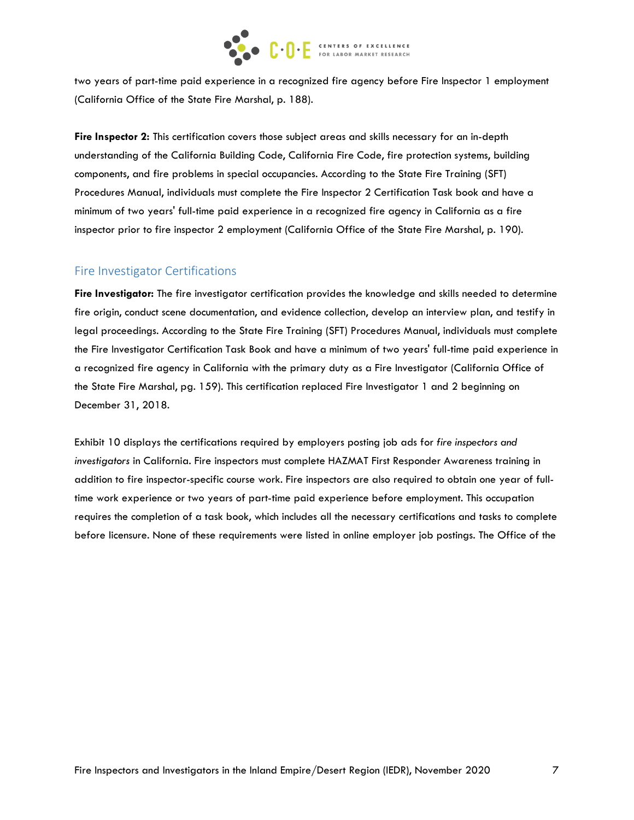

two years of part-time paid experience in a recognized fire agency before Fire Inspector 1 employment (California Office of the State Fire Marshal, p. 188).

**Fire Inspector 2:** This certification covers those subject areas and skills necessary for an in-depth understanding of the California Building Code, California Fire Code, fire protection systems, building components, and fire problems in special occupancies. According to the State Fire Training (SFT) Procedures Manual, individuals must complete the Fire Inspector 2 Certification Task book and have a minimum of two years' full-time paid experience in a recognized fire agency in California as a fire inspector prior to fire inspector 2 employment (California Office of the State Fire Marshal, p. 190).

#### Fire Investigator Certifications

**Fire Investigator:** The fire investigator certification provides the knowledge and skills needed to determine fire origin, conduct scene documentation, and evidence collection, develop an interview plan, and testify in legal proceedings. According to the State Fire Training (SFT) Procedures Manual, individuals must complete the Fire Investigator Certification Task Book and have a minimum of two years' full-time paid experience in a recognized fire agency in California with the primary duty as a Fire Investigator (California Office of the State Fire Marshal, pg. 159). This certification replaced Fire Investigator 1 and 2 beginning on December 31, 2018.

Exhibit 10 displays the certifications required by employers posting job ads for *fire inspectors and investigators* in California. Fire inspectors must complete HAZMAT First Responder Awareness training in addition to fire inspector-specific course work. Fire inspectors are also required to obtain one year of fulltime work experience or two years of part-time paid experience before employment. This occupation requires the completion of a task book, which includes all the necessary certifications and tasks to complete before licensure. None of these requirements were listed in online employer job postings. The Office of the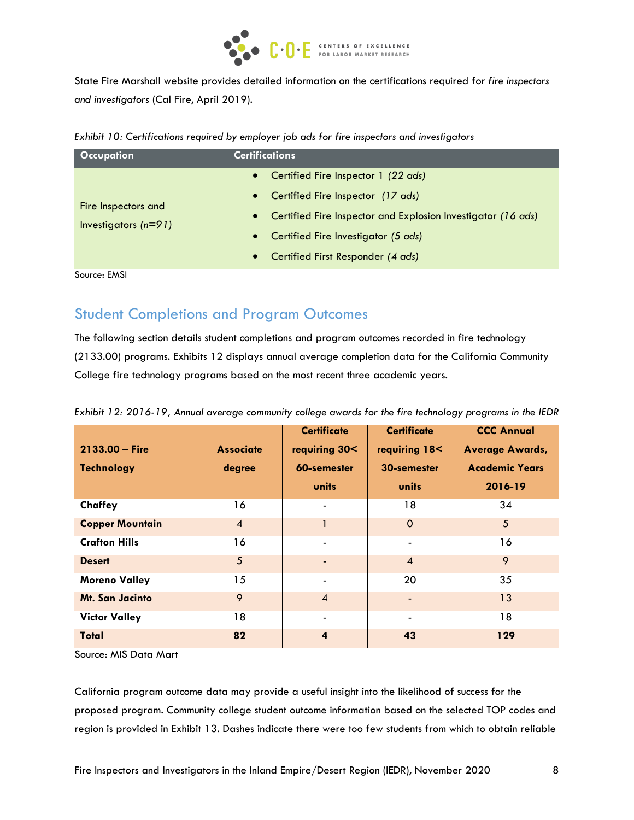

State Fire Marshall website provides detailed information on the certifications required for *fire inspectors and investigators* (Cal Fire, April 2019).

|  | Exhibit 10: Certifications required by employer job ads for fire inspectors and investigators |  |  |  |  |  |  |
|--|-----------------------------------------------------------------------------------------------|--|--|--|--|--|--|
|  |                                                                                               |  |  |  |  |  |  |

| <b>Occupation</b>                             | <b>Certifications</b>                                                     |  |  |  |  |  |
|-----------------------------------------------|---------------------------------------------------------------------------|--|--|--|--|--|
|                                               | Certified Fire Inspector 1 (22 ads)<br>$\bullet$                          |  |  |  |  |  |
|                                               | Certified Fire Inspector (17 ads)<br>$\bullet$                            |  |  |  |  |  |
| Fire Inspectors and<br>Investigators $(n=91)$ | Certified Fire Inspector and Explosion Investigator (16 ads)<br>$\bullet$ |  |  |  |  |  |
|                                               | Certified Fire Investigator (5 ads)<br>$\bullet$                          |  |  |  |  |  |
|                                               | Certified First Responder (4 ads)<br>$\bullet$                            |  |  |  |  |  |
| $C_1, \ldots, C_k$                            |                                                                           |  |  |  |  |  |

Source: EMSI

## Student Completions and Program Outcomes

The following section details student completions and program outcomes recorded in fire technology (2133.00) programs. Exhibits 12 displays annual average completion data for the California Community College fire technology programs based on the most recent three academic years.

|                        |                       | <b>Certificate</b>           | <b>Certificate</b> | <b>CCC Annual</b>      |  |
|------------------------|-----------------------|------------------------------|--------------------|------------------------|--|
| $2133.00 - Fire$       | <b>Associate</b>      | requiring 30<                | requiring 18<      | <b>Average Awards,</b> |  |
| <b>Technology</b>      | 60-semester<br>degree |                              | 30-semester        | <b>Academic Years</b>  |  |
|                        |                       | units                        | units              | 2016-19                |  |
| Chaffey                | 16                    | $\qquad \qquad \blacksquare$ | 18                 | 34                     |  |
| <b>Copper Mountain</b> | $\overline{4}$        | 1                            | $\Omega$           | 5                      |  |
| <b>Crafton Hills</b>   | 16                    | $\blacksquare$               | $\blacksquare$     | 16                     |  |
| <b>Desert</b>          | 5                     | $\qquad \qquad \blacksquare$ | $\overline{4}$     | 9                      |  |
| <b>Moreno Valley</b>   | 15                    | $\blacksquare$               | 20                 | 35                     |  |
| <b>Mt. San Jacinto</b> | 9                     | $\overline{4}$               |                    | 13                     |  |
| <b>Victor Valley</b>   | 18                    | $\overline{\phantom{0}}$     |                    | 18                     |  |
| <b>Total</b>           | 82                    | $\overline{\mathbf{4}}$      | 43                 | 129                    |  |

*Exhibit 12: 2016-19, Annual average community college awards for the fire technology programs in the IEDR*

Source: MIS Data Mart

California program outcome data may provide a useful insight into the likelihood of success for the proposed program. Community college student outcome information based on the selected TOP codes and region is provided in Exhibit 13. Dashes indicate there were too few students from which to obtain reliable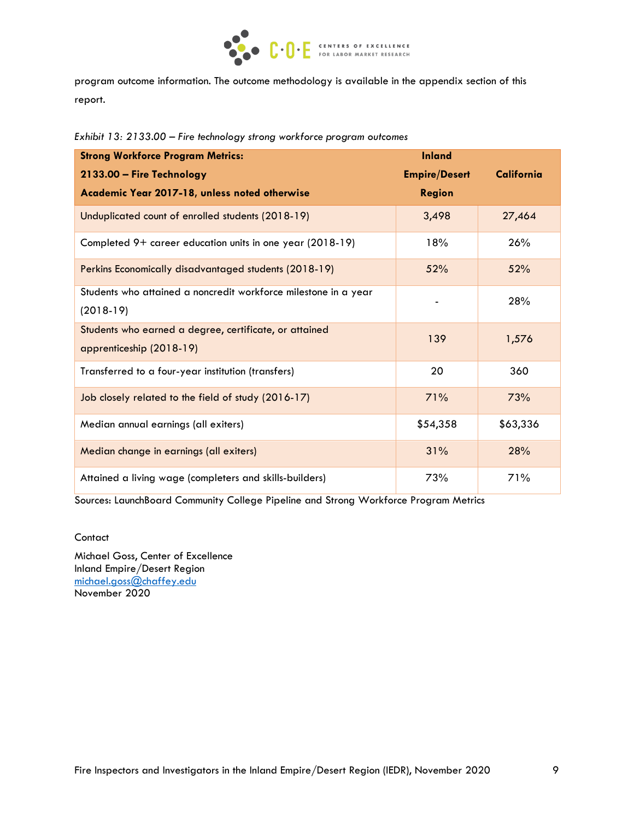

program outcome information. The outcome methodology is available in the appendix section of this report.

|  | Exhibit 13: 2133.00 – Fire technology strong workforce program outcomes |
|--|-------------------------------------------------------------------------|
|--|-------------------------------------------------------------------------|

| <b>Strong Workforce Program Metrics:</b>                        | <b>Inland</b>        |            |
|-----------------------------------------------------------------|----------------------|------------|
| 2133.00 - Fire Technology                                       | <b>Empire/Desert</b> | California |
| Academic Year 2017-18, unless noted otherwise                   | <b>Region</b>        |            |
| Unduplicated count of enrolled students (2018-19)               | 3,498                | 27,464     |
| Completed 9+ career education units in one year (2018-19)       | 18%                  | 26%        |
| Perkins Economically disadvantaged students (2018-19)           | 52%                  | 52%        |
| Students who attained a noncredit workforce milestone in a year |                      | 28%        |
| $(2018-19)$                                                     |                      |            |
| Students who earned a degree, certificate, or attained          | 139                  | 1,576      |
| apprenticeship (2018-19)                                        |                      |            |
| Transferred to a four-year institution (transfers)              | 20                   | 360        |
| Job closely related to the field of study (2016-17)             | 71%                  | 73%        |
| Median annual earnings (all exiters)                            | \$54,358             | \$63,336   |
| Median change in earnings (all exiters)                         | 31%                  | 28%        |
| Attained a living wage (completers and skills-builders)         | 73%                  | 71%        |

Sources: LaunchBoard Community College Pipeline and Strong Workforce Program Metrics

#### **Contact**

Michael Goss, Center of Excellence Inland Empire/Desert Region [michael.goss@chaffey.edu](mailto:michael.goss@chaffey.edu) November 2020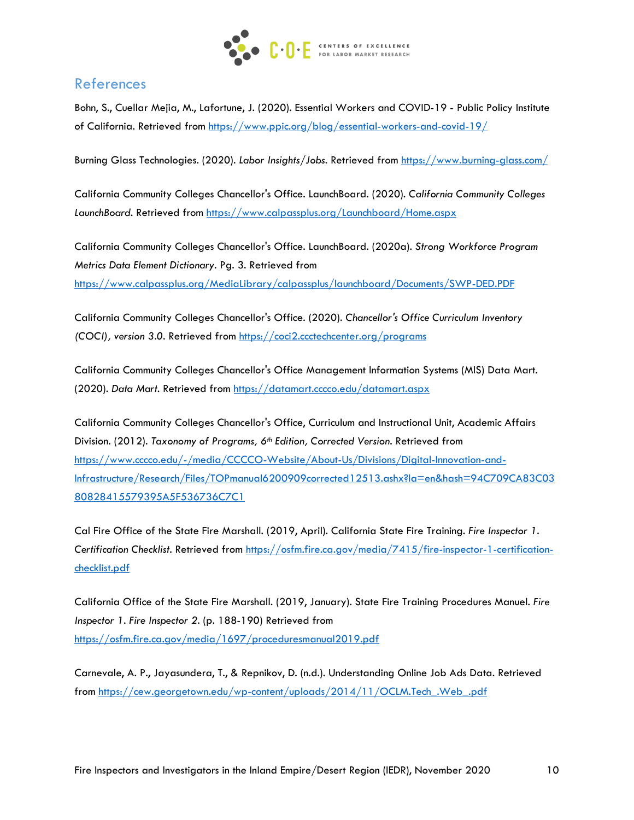

## References

Bohn, S., Cuellar Mejia, M., Lafortune, J. (2020). Essential Workers and COVID-19 - Public Policy Institute of California. Retrieved from<https://www.ppic.org/blog/essential-workers-and-covid-19/>

Burning Glass Technologies. (2020). *Labor Insights/Jobs.* Retrieved from<https://www.burning-glass.com/>

California Community Colleges Chancellor's Office. LaunchBoard. (2020). *California Community Colleges LaunchBoard.* Retrieved from<https://www.calpassplus.org/Launchboard/Home.aspx>

California Community Colleges Chancellor's Office. LaunchBoard. (2020a). *Strong Workforce Program Metrics Data Element Dictionary.* Pg. 3. Retrieved from <https://www.calpassplus.org/MediaLibrary/calpassplus/launchboard/Documents/SWP-DED.PDF>

California Community Colleges Chancellor's Office. (2020). *Chancellor's Office Curriculum Inventory (COCI), version 3.0.* Retrieved from<https://coci2.ccctechcenter.org/programs>

California Community Colleges Chancellor's Office Management Information Systems (MIS) Data Mart. (2020). *Data Mart.* Retrieved from<https://datamart.cccco.edu/datamart.aspx>

California Community Colleges Chancellor's Office, Curriculum and Instructional Unit, Academic Affairs Division. (2012). *Taxonomy of Programs, 6th Edition, Corrected Version.* Retrieved from [https://www.cccco.edu/-/media/CCCCO-Website/About-Us/Divisions/Digital-Innovation-and-](https://www.cccco.edu/-/media/CCCCO-Website/About-Us/Divisions/Digital-Innovation-and-Infrastructure/Research/Files/TOPmanual6200909corrected12513.ashx?la=en&hash=94C709CA83C0380828415579395A5F536736C7C1%20)[Infrastructure/Research/Files/TOPmanual6200909corrected12513.ashx?la=en&hash=94C709CA83C03](https://www.cccco.edu/-/media/CCCCO-Website/About-Us/Divisions/Digital-Innovation-and-Infrastructure/Research/Files/TOPmanual6200909corrected12513.ashx?la=en&hash=94C709CA83C0380828415579395A5F536736C7C1%20) [80828415579395A5F536736C7C1](https://www.cccco.edu/-/media/CCCCO-Website/About-Us/Divisions/Digital-Innovation-and-Infrastructure/Research/Files/TOPmanual6200909corrected12513.ashx?la=en&hash=94C709CA83C0380828415579395A5F536736C7C1%20) 

Cal Fire Office of the State Fire Marshall. (2019, April). California State Fire Training. *Fire Inspector 1. Certification Checklist.* Retrieved from [https://osfm.fire.ca.gov/media/7415/fire-inspector-1-certification](https://osfm.fire.ca.gov/media/7415/fire-inspector-1-certification-checklist.pdf)[checklist.pdf](https://osfm.fire.ca.gov/media/7415/fire-inspector-1-certification-checklist.pdf)

California Office of the State Fire Marshall. (2019, January). State Fire Training Procedures Manuel. *Fire Inspector 1. Fire Inspector 2.* (p. 188-190) Retrieved from <https://osfm.fire.ca.gov/media/1697/proceduresmanual2019.pdf>

Carnevale, A. P., Jayasundera, T., & Repnikov, D. (n.d.). Understanding Online Job Ads Data. Retrieved from [https://cew.georgetown.edu/wp-content/uploads/2014/11/OCLM.Tech\\_.Web\\_.pdf](https://cew.georgetown.edu/wp-content/uploads/2014/11/OCLM.Tech_.Web_.pdf)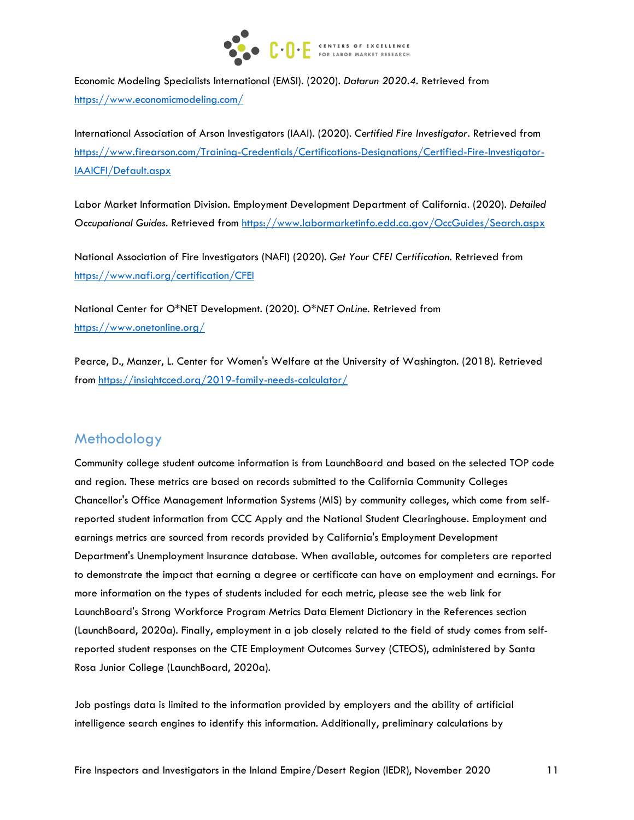

Economic Modeling Specialists International (EMSI). (2020). *Datarun 2020.4.* Retrieved from <https://www.economicmodeling.com/>

International Association of Arson Investigators (IAAI). (2020). *Certified Fire Investigator.* Retrieved from [https://www.firearson.com/Training-Credentials/Certifications-Designations/Certified-Fire-Investigator-](https://www.firearson.com/Training-Credentials/Certifications-Designations/Certified-Fire-Investigator-IAAICFI/Default.aspx)[IAAICFI/Default.aspx](https://www.firearson.com/Training-Credentials/Certifications-Designations/Certified-Fire-Investigator-IAAICFI/Default.aspx)

Labor Market Information Division. Employment Development Department of California. (2020). *Detailed Occupational Guides.* Retrieved from<https://www.labormarketinfo.edd.ca.gov/OccGuides/Search.aspx>

National Association of Fire Investigators (NAFI) (2020). *Get Your CFEI Certification.* Retrieved from <https://www.nafi.org/certification/CFEI>

National Center for O\*NET Development. (2020). *O\*NET OnLine.* Retrieved from <https://www.onetonline.org/>

Pearce, D., Manzer, L. Center for Women's Welfare at the University of Washington. (2018). Retrieved from [https://insightcced.org/2019-family-needs-calculator/](https://insightcced.org/2018-family-needs-calculator/)

## Methodology

Community college student outcome information is from LaunchBoard and based on the selected TOP code and region. These metrics are based on records submitted to the California Community Colleges Chancellor's Office Management Information Systems (MIS) by community colleges, which come from selfreported student information from CCC Apply and the National Student Clearinghouse. Employment and earnings metrics are sourced from records provided by California's Employment Development Department's Unemployment Insurance database. When available, outcomes for completers are reported to demonstrate the impact that earning a degree or certificate can have on employment and earnings. For more information on the types of students included for each metric, please see the web link for LaunchBoard's Strong Workforce Program Metrics Data Element Dictionary in the References section (LaunchBoard, 2020a). Finally, employment in a job closely related to the field of study comes from selfreported student responses on the CTE Employment Outcomes Survey (CTEOS), administered by Santa Rosa Junior College (LaunchBoard, 2020a).

Job postings data is limited to the information provided by employers and the ability of artificial intelligence search engines to identify this information. Additionally, preliminary calculations by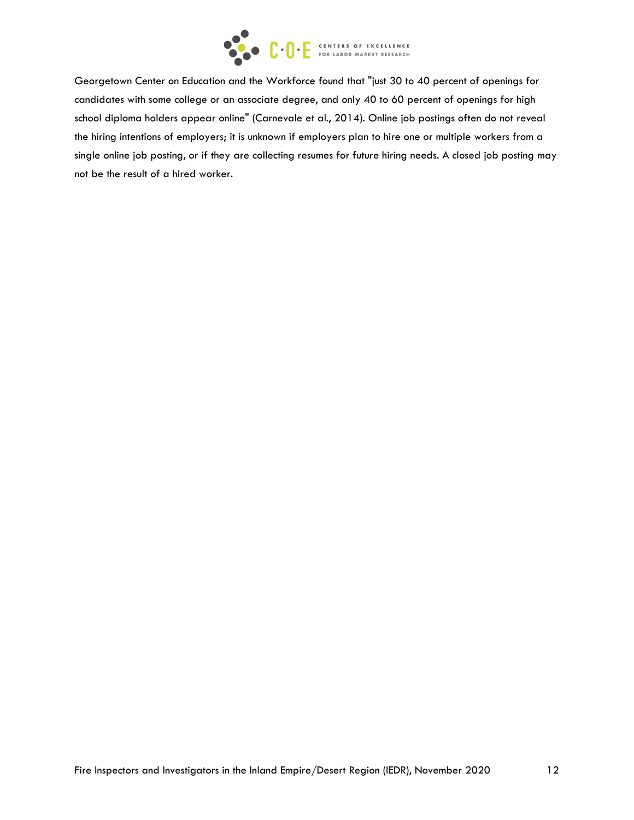

Georgetown Center on Education and the Workforce found that "just 30 to 40 percent of openings for candidates with some college or an associate degree, and only 40 to 60 percent of openings for high school diploma holders appear online" (Carnevale et al., 2014). Online job postings often do not reveal the hiring intentions of employers; it is unknown if employers plan to hire one or multiple workers from a single online job posting, or if they are collecting resumes for future hiring needs. A closed job posting may not be the result of a hired worker.